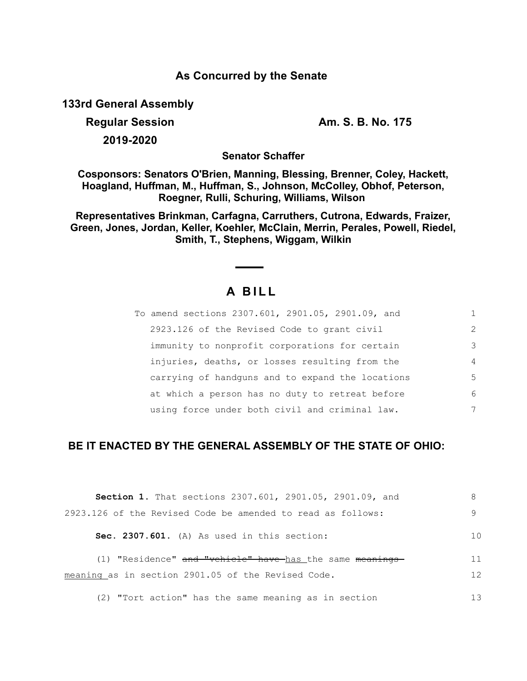### **As Concurred by the Senate**

**133rd General Assembly**

**Regular Session Am. S. B. No. 175** 

**2019-2020**

**Senator Schaffer**

**Cosponsors: Senators O'Brien, Manning, Blessing, Brenner, Coley, Hackett, Hoagland, Huffman, M., Huffman, S., Johnson, McColley, Obhof, Peterson, Roegner, Rulli, Schuring, Williams, Wilson** 

**Representatives Brinkman, Carfagna, Carruthers, Cutrona, Edwards, Fraizer, Green, Jones, Jordan, Keller, Koehler, McClain, Merrin, Perales, Powell, Riedel, Smith, T., Stephens, Wiggam, Wilkin**

# **A B I L L**

| To amend sections 2307.601, 2901.05, 2901.09, and |               |
|---------------------------------------------------|---------------|
| 2923.126 of the Revised Code to grant civil       | $\mathcal{L}$ |
| immunity to nonprofit corporations for certain    | 3             |
| injuries, deaths, or losses resulting from the    | 4             |
| carrying of handguns and to expand the locations  | 5             |
| at which a person has no duty to retreat before   | 6             |
| using force under both civil and criminal law.    | 7             |

## **BE IT ENACTED BY THE GENERAL ASSEMBLY OF THE STATE OF OHIO:**

| Section 1. That sections 2307.601, 2901.05, 2901.09, and    |                |
|-------------------------------------------------------------|----------------|
| 2923.126 of the Revised Code be amended to read as follows: | 9              |
| Sec. 2307.601. (A) As used in this section:                 | 1 <sub>0</sub> |
| (1) "Residence" and "vehicle" have-has the same meanings-   | 11             |
| meaning as in section 2901.05 of the Revised Code.          | 12             |
| (2) "Tort action" has the same meaning as in section        | 13             |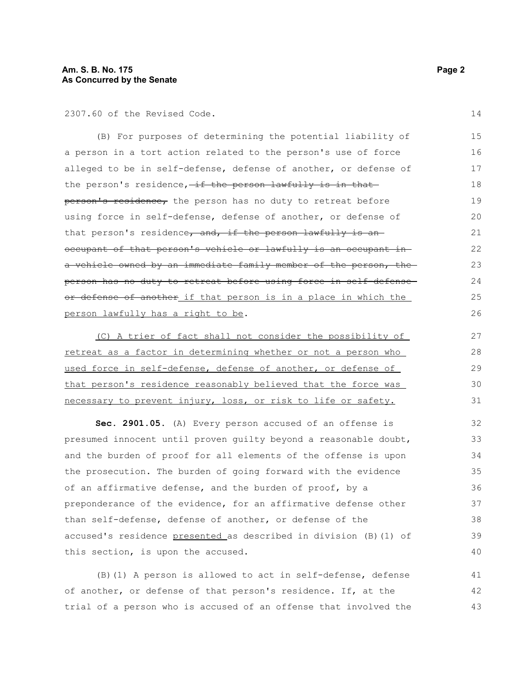2307.60 of the Revised Code.

(B) For purposes of determining the potential liability of a person in a tort action related to the person's use of force alleged to be in self-defense, defense of another, or defense of the person's residence, if the person lawfully is in thatperson's residence, the person has no duty to retreat before using force in self-defense, defense of another, or defense of that person's residence, and, if the person lawfully is anoccupant of that person's vehicle or lawfully is an occupant in a vehicle owned by an immediate family member of the person, the person has no duty to retreat before using force in self-defense or defense of another if that person is in a place in which the person lawfully has a right to be. 15 16 17 18 19  $20$ 21 22 23 24 25 26

(C) A trier of fact shall not consider the possibility of retreat as a factor in determining whether or not a person who used force in self-defense, defense of another, or defense of that person's residence reasonably believed that the force was necessary to prevent injury, loss, or risk to life or safety. 27 28 29 30 31

**Sec. 2901.05.** (A) Every person accused of an offense is presumed innocent until proven guilty beyond a reasonable doubt, and the burden of proof for all elements of the offense is upon the prosecution. The burden of going forward with the evidence of an affirmative defense, and the burden of proof, by a preponderance of the evidence, for an affirmative defense other than self-defense, defense of another, or defense of the accused's residence presented as described in division (B)(1) of this section, is upon the accused.

(B)(1) A person is allowed to act in self-defense, defense of another, or defense of that person's residence. If, at the trial of a person who is accused of an offense that involved the 41 42 43

14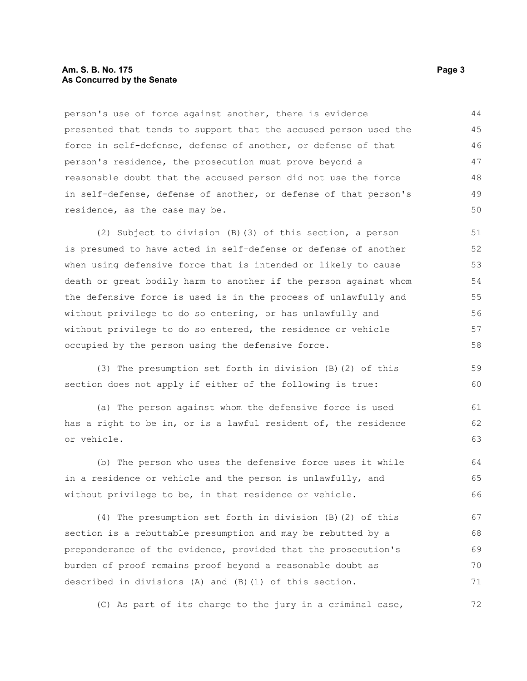#### **Am. S. B. No. 175** Page 3 **As Concurred by the Senate**

person's use of force against another, there is evidence presented that tends to support that the accused person used the force in self-defense, defense of another, or defense of that person's residence, the prosecution must prove beyond a reasonable doubt that the accused person did not use the force in self-defense, defense of another, or defense of that person's residence, as the case may be. 44 45 46 47 48 49 50

(2) Subject to division (B)(3) of this section, a person is presumed to have acted in self-defense or defense of another when using defensive force that is intended or likely to cause death or great bodily harm to another if the person against whom the defensive force is used is in the process of unlawfully and without privilege to do so entering, or has unlawfully and without privilege to do so entered, the residence or vehicle occupied by the person using the defensive force.

(3) The presumption set forth in division (B)(2) of this section does not apply if either of the following is true: 59 60

(a) The person against whom the defensive force is used has a right to be in, or is a lawful resident of, the residence or vehicle.

(b) The person who uses the defensive force uses it while in a residence or vehicle and the person is unlawfully, and without privilege to be, in that residence or vehicle. 64 65 66

(4) The presumption set forth in division (B)(2) of this section is a rebuttable presumption and may be rebutted by a preponderance of the evidence, provided that the prosecution's burden of proof remains proof beyond a reasonable doubt as described in divisions (A) and (B)(1) of this section. 67 68 69 70 71

(C) As part of its charge to the jury in a criminal case, 72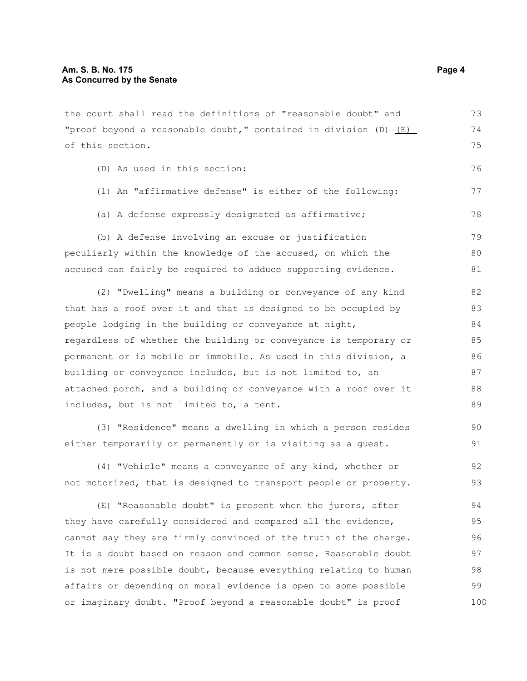the court shall read the definitions of "reasonable doubt" and "proof beyond a reasonable doubt," contained in division  $\overline{(B) - (E)}$ of this section. 73 74

(D) As used in this section:

- (1) An "affirmative defense" is either of the following:
- (a) A defense expressly designated as affirmative;

(b) A defense involving an excuse or justification peculiarly within the knowledge of the accused, on which the accused can fairly be required to adduce supporting evidence. 79 80 81

(2) "Dwelling" means a building or conveyance of any kind that has a roof over it and that is designed to be occupied by people lodging in the building or conveyance at night, regardless of whether the building or conveyance is temporary or permanent or is mobile or immobile. As used in this division, a building or conveyance includes, but is not limited to, an attached porch, and a building or conveyance with a roof over it includes, but is not limited to, a tent. 82 83 84 85 86 87 88 89

(3) "Residence" means a dwelling in which a person resides either temporarily or permanently or is visiting as a guest.

(4) "Vehicle" means a conveyance of any kind, whether or not motorized, that is designed to transport people or property. 92 93

(E) "Reasonable doubt" is present when the jurors, after they have carefully considered and compared all the evidence, cannot say they are firmly convinced of the truth of the charge. It is a doubt based on reason and common sense. Reasonable doubt is not mere possible doubt, because everything relating to human affairs or depending on moral evidence is open to some possible or imaginary doubt. "Proof beyond a reasonable doubt" is proof 94 95 96 97 98 99 100

75

76

77

78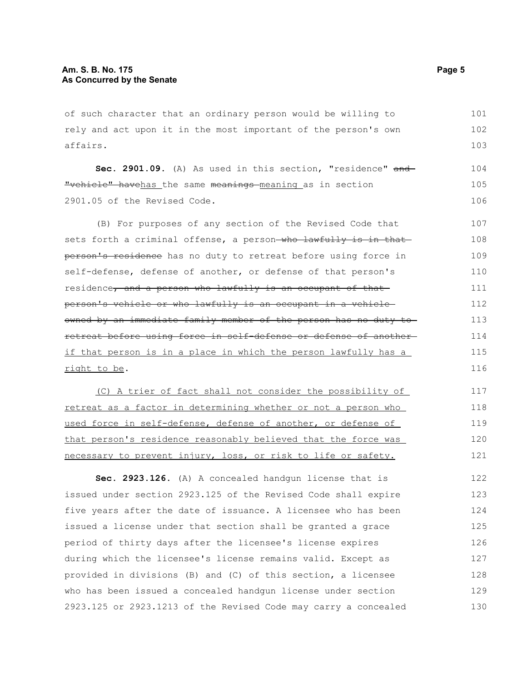of such character that an ordinary person would be willing to rely and act upon it in the most important of the person's own affairs. 101 102 103

Sec. 2901.09. (A) As used in this section, "residence" and "vehicle" havehas the same meanings meaning as in section 2901.05 of the Revised Code. 104 105 106

(B) For purposes of any section of the Revised Code that sets forth a criminal offense, a person-who lawfully is in thatperson's residence has no duty to retreat before using force in self-defense, defense of another, or defense of that person's residence, and a person who lawfully is an occupant of that person's vehicle or who lawfully is an occupant in a vehicle owned by an immediate family member of the person has no duty to retreat before using force in self-defense or defense of another if that person is in a place in which the person lawfully has a right to be. 107 108 109 110 111 112 113 114 115 116

(C) A trier of fact shall not consider the possibility of retreat as a factor in determining whether or not a person who used force in self-defense, defense of another, or defense of that person's residence reasonably believed that the force was necessary to prevent injury, loss, or risk to life or safety. 117 118 119 120 121

**Sec. 2923.126.** (A) A concealed handgun license that is issued under section 2923.125 of the Revised Code shall expire five years after the date of issuance. A licensee who has been issued a license under that section shall be granted a grace period of thirty days after the licensee's license expires during which the licensee's license remains valid. Except as provided in divisions (B) and (C) of this section, a licensee who has been issued a concealed handgun license under section 2923.125 or 2923.1213 of the Revised Code may carry a concealed 122 123 124 125 126 127 128 129 130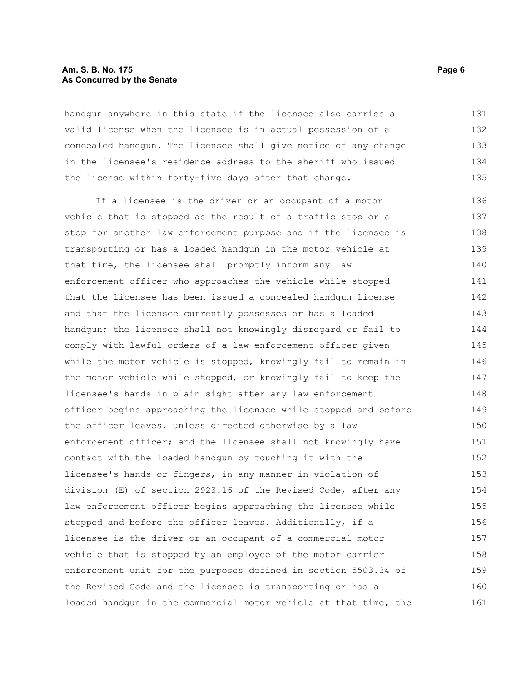#### **Am. S. B. No. 175** Page 6 **As Concurred by the Senate**

handgun anywhere in this state if the licensee also carries a valid license when the licensee is in actual possession of a concealed handgun. The licensee shall give notice of any change in the licensee's residence address to the sheriff who issued the license within forty-five days after that change. 131 132 133 134 135

If a licensee is the driver or an occupant of a motor vehicle that is stopped as the result of a traffic stop or a stop for another law enforcement purpose and if the licensee is transporting or has a loaded handgun in the motor vehicle at that time, the licensee shall promptly inform any law enforcement officer who approaches the vehicle while stopped that the licensee has been issued a concealed handgun license and that the licensee currently possesses or has a loaded handgun; the licensee shall not knowingly disregard or fail to comply with lawful orders of a law enforcement officer given while the motor vehicle is stopped, knowingly fail to remain in the motor vehicle while stopped, or knowingly fail to keep the licensee's hands in plain sight after any law enforcement officer begins approaching the licensee while stopped and before the officer leaves, unless directed otherwise by a law enforcement officer; and the licensee shall not knowingly have contact with the loaded handgun by touching it with the licensee's hands or fingers, in any manner in violation of division (E) of section 2923.16 of the Revised Code, after any law enforcement officer begins approaching the licensee while stopped and before the officer leaves. Additionally, if a licensee is the driver or an occupant of a commercial motor vehicle that is stopped by an employee of the motor carrier enforcement unit for the purposes defined in section 5503.34 of the Revised Code and the licensee is transporting or has a loaded handgun in the commercial motor vehicle at that time, the 136 137 138 139 140 141 142 143 144 145 146 147 148 149 150 151 152 153 154 155 156 157 158 159 160 161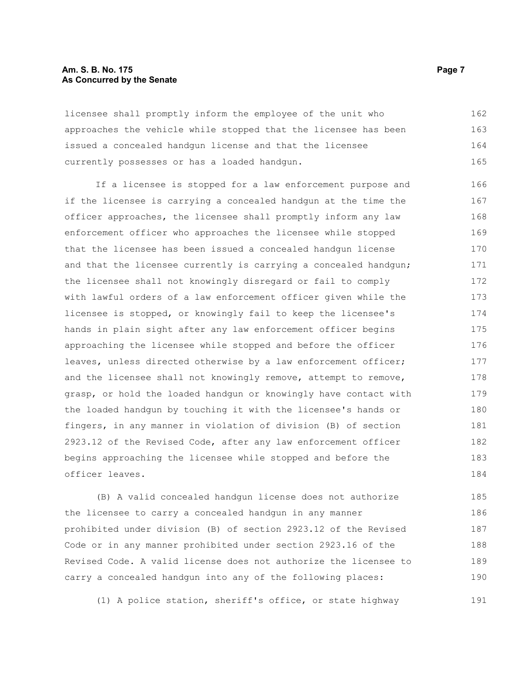#### **Am. S. B. No. 175** Page 7 **As Concurred by the Senate**

licensee shall promptly inform the employee of the unit who approaches the vehicle while stopped that the licensee has been issued a concealed handgun license and that the licensee currently possesses or has a loaded handgun. 162 163 164 165

If a licensee is stopped for a law enforcement purpose and if the licensee is carrying a concealed handgun at the time the officer approaches, the licensee shall promptly inform any law enforcement officer who approaches the licensee while stopped that the licensee has been issued a concealed handgun license and that the licensee currently is carrying a concealed handgun; the licensee shall not knowingly disregard or fail to comply with lawful orders of a law enforcement officer given while the licensee is stopped, or knowingly fail to keep the licensee's hands in plain sight after any law enforcement officer begins approaching the licensee while stopped and before the officer leaves, unless directed otherwise by a law enforcement officer; and the licensee shall not knowingly remove, attempt to remove, grasp, or hold the loaded handgun or knowingly have contact with the loaded handgun by touching it with the licensee's hands or fingers, in any manner in violation of division (B) of section 2923.12 of the Revised Code, after any law enforcement officer begins approaching the licensee while stopped and before the officer leaves. 166 167 168 169 170 171 172 173 174 175 176 177 178 179 180 181 182 183 184

(B) A valid concealed handgun license does not authorize the licensee to carry a concealed handgun in any manner prohibited under division (B) of section 2923.12 of the Revised Code or in any manner prohibited under section 2923.16 of the Revised Code. A valid license does not authorize the licensee to carry a concealed handgun into any of the following places: 185 186 187 188 189 190

(1) A police station, sheriff's office, or state highway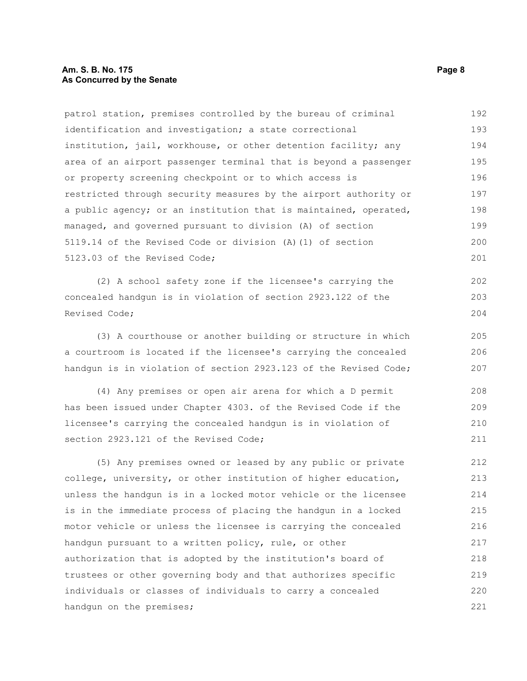#### **Am. S. B. No. 175** Page 8 **As Concurred by the Senate**

patrol station, premises controlled by the bureau of criminal identification and investigation; a state correctional institution, jail, workhouse, or other detention facility; any area of an airport passenger terminal that is beyond a passenger or property screening checkpoint or to which access is restricted through security measures by the airport authority or a public agency; or an institution that is maintained, operated, managed, and governed pursuant to division (A) of section 5119.14 of the Revised Code or division (A)(1) of section 5123.03 of the Revised Code; 192 193 194 195 196 197 198 199 200 201

(2) A school safety zone if the licensee's carrying the concealed handgun is in violation of section 2923.122 of the Revised Code;

(3) A courthouse or another building or structure in which a courtroom is located if the licensee's carrying the concealed handgun is in violation of section 2923.123 of the Revised Code;

(4) Any premises or open air arena for which a D permit has been issued under Chapter 4303. of the Revised Code if the licensee's carrying the concealed handgun is in violation of section 2923.121 of the Revised Code; 208 209 210 211

(5) Any premises owned or leased by any public or private college, university, or other institution of higher education, unless the handgun is in a locked motor vehicle or the licensee is in the immediate process of placing the handgun in a locked motor vehicle or unless the licensee is carrying the concealed handgun pursuant to a written policy, rule, or other authorization that is adopted by the institution's board of trustees or other governing body and that authorizes specific individuals or classes of individuals to carry a concealed handgun on the premises; 212 213 214 215 216 217 218 219 220 221

202 203 204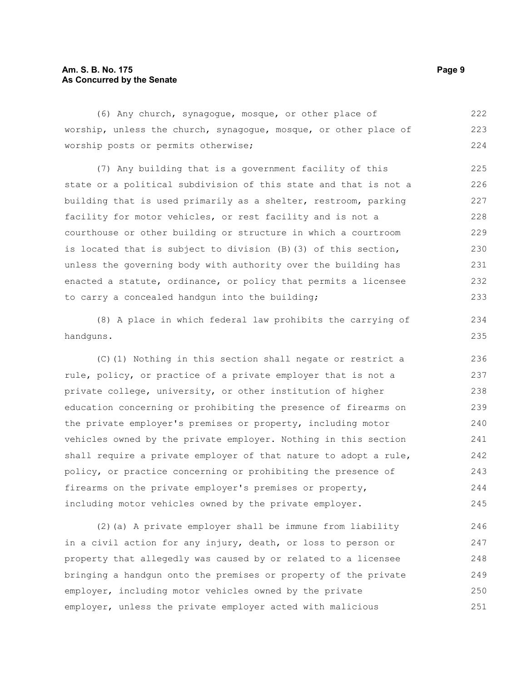#### **Am. S. B. No. 175** Page 9 **As Concurred by the Senate**

(6) Any church, synagogue, mosque, or other place of worship, unless the church, synagogue, mosque, or other place of worship posts or permits otherwise; 222 223 224

(7) Any building that is a government facility of this state or a political subdivision of this state and that is not a building that is used primarily as a shelter, restroom, parking facility for motor vehicles, or rest facility and is not a courthouse or other building or structure in which a courtroom is located that is subject to division (B)(3) of this section, unless the governing body with authority over the building has enacted a statute, ordinance, or policy that permits a licensee to carry a concealed handgun into the building; 225 226 227 228 229 230 231 232 233

(8) A place in which federal law prohibits the carrying of handguns.

(C)(1) Nothing in this section shall negate or restrict a rule, policy, or practice of a private employer that is not a private college, university, or other institution of higher education concerning or prohibiting the presence of firearms on the private employer's premises or property, including motor vehicles owned by the private employer. Nothing in this section shall require a private employer of that nature to adopt a rule, policy, or practice concerning or prohibiting the presence of firearms on the private employer's premises or property, including motor vehicles owned by the private employer. 236 237 238 239 240 241 242 243 244 245

(2)(a) A private employer shall be immune from liability in a civil action for any injury, death, or loss to person or property that allegedly was caused by or related to a licensee bringing a handgun onto the premises or property of the private employer, including motor vehicles owned by the private employer, unless the private employer acted with malicious 246 247 248 249 250 251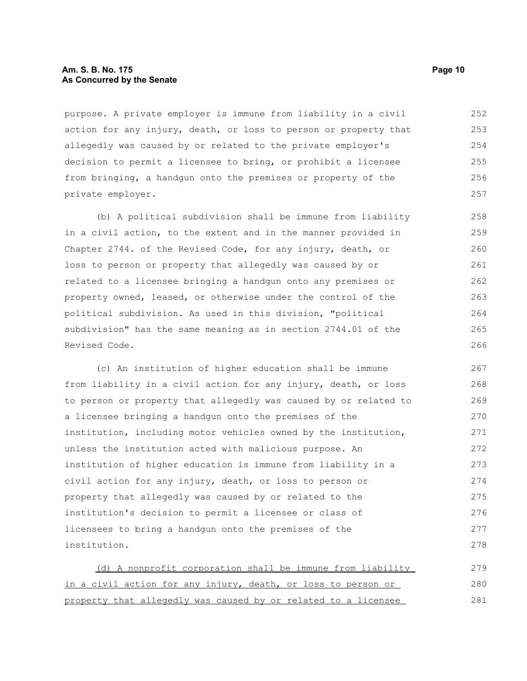#### **Am. S. B. No. 175 Page 10 As Concurred by the Senate**

purpose. A private employer is immune from liability in a civil action for any injury, death, or loss to person or property that allegedly was caused by or related to the private employer's decision to permit a licensee to bring, or prohibit a licensee from bringing, a handgun onto the premises or property of the private employer. 252 253 254 255 256 257

(b) A political subdivision shall be immune from liability in a civil action, to the extent and in the manner provided in Chapter 2744. of the Revised Code, for any injury, death, or loss to person or property that allegedly was caused by or related to a licensee bringing a handgun onto any premises or property owned, leased, or otherwise under the control of the political subdivision. As used in this division, "political subdivision" has the same meaning as in section 2744.01 of the Revised Code. 258 259 260 261 262 263 264 265 266

(c) An institution of higher education shall be immune from liability in a civil action for any injury, death, or loss to person or property that allegedly was caused by or related to a licensee bringing a handgun onto the premises of the institution, including motor vehicles owned by the institution, unless the institution acted with malicious purpose. An institution of higher education is immune from liability in a civil action for any injury, death, or loss to person or property that allegedly was caused by or related to the institution's decision to permit a licensee or class of licensees to bring a handgun onto the premises of the institution. 267 268 269 270 271 272 273 274 275 276 277 278

(d) A nonprofit corporation shall be immune from liability in a civil action for any injury, death, or loss to person or property that allegedly was caused by or related to a licensee 279 280 281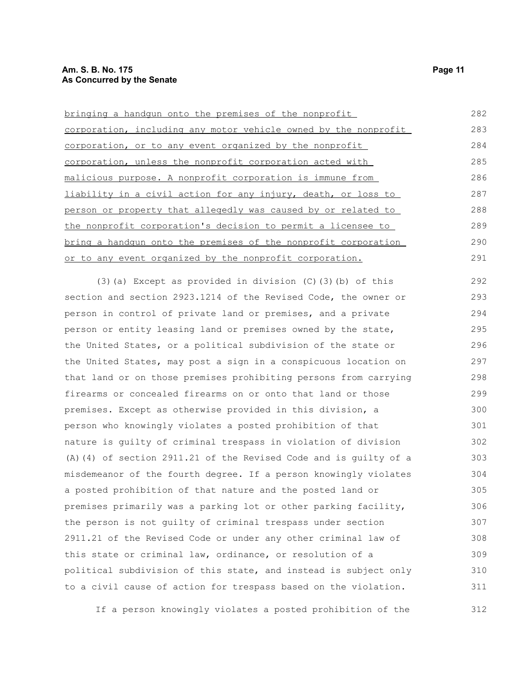bringing a handgun onto the premises of the nonprofit corporation, including any motor vehicle owned by the nonprofit corporation, or to any event organized by the nonprofit corporation, unless the nonprofit corporation acted with malicious purpose. A nonprofit corporation is immune from liability in a civil action for any injury, death, or loss to person or property that allegedly was caused by or related to the nonprofit corporation's decision to permit a licensee to bring a handgun onto the premises of the nonprofit corporation or to any event organized by the nonprofit corporation. 282 283 284 285 286 287 288 289 290 291

(3)(a) Except as provided in division (C)(3)(b) of this section and section 2923.1214 of the Revised Code, the owner or person in control of private land or premises, and a private person or entity leasing land or premises owned by the state, the United States, or a political subdivision of the state or the United States, may post a sign in a conspicuous location on that land or on those premises prohibiting persons from carrying firearms or concealed firearms on or onto that land or those premises. Except as otherwise provided in this division, a person who knowingly violates a posted prohibition of that nature is guilty of criminal trespass in violation of division (A)(4) of section 2911.21 of the Revised Code and is guilty of a misdemeanor of the fourth degree. If a person knowingly violates a posted prohibition of that nature and the posted land or premises primarily was a parking lot or other parking facility, the person is not guilty of criminal trespass under section 2911.21 of the Revised Code or under any other criminal law of this state or criminal law, ordinance, or resolution of a political subdivision of this state, and instead is subject only to a civil cause of action for trespass based on the violation. 292 293 294 295 296 297 298 299 300 301 302 303 304 305 306 307 308 309 310 311

If a person knowingly violates a posted prohibition of the 312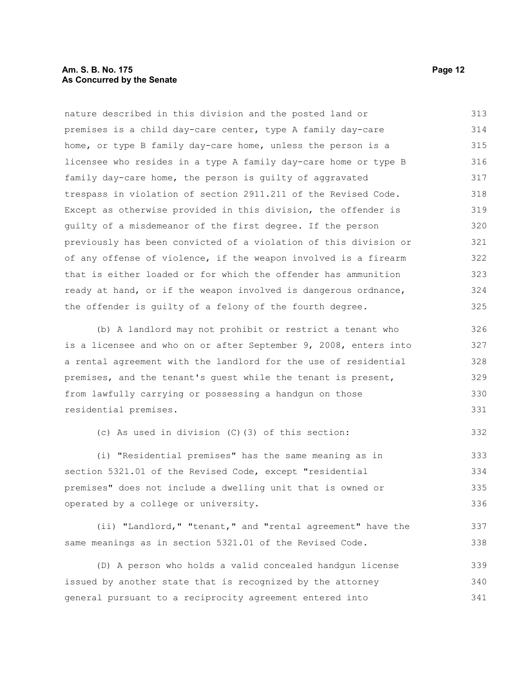#### **Am. S. B. No. 175 Page 12 As Concurred by the Senate**

nature described in this division and the posted land or premises is a child day-care center, type A family day-care home, or type B family day-care home, unless the person is a licensee who resides in a type A family day-care home or type B family day-care home, the person is guilty of aggravated trespass in violation of section 2911.211 of the Revised Code. Except as otherwise provided in this division, the offender is guilty of a misdemeanor of the first degree. If the person previously has been convicted of a violation of this division or of any offense of violence, if the weapon involved is a firearm that is either loaded or for which the offender has ammunition ready at hand, or if the weapon involved is dangerous ordnance, the offender is guilty of a felony of the fourth degree. 313 314 315 316 317 318 319 320 321 322 323 324 325

(b) A landlord may not prohibit or restrict a tenant who is a licensee and who on or after September 9, 2008, enters into a rental agreement with the landlord for the use of residential premises, and the tenant's guest while the tenant is present, from lawfully carrying or possessing a handgun on those residential premises. 326 327 328 329 330 331

(c) As used in division (C)(3) of this section: 332

(i) "Residential premises" has the same meaning as in section 5321.01 of the Revised Code, except "residential premises" does not include a dwelling unit that is owned or operated by a college or university. 333 334 335 336

(ii) "Landlord," "tenant," and "rental agreement" have the same meanings as in section 5321.01 of the Revised Code. 337 338

(D) A person who holds a valid concealed handgun license issued by another state that is recognized by the attorney general pursuant to a reciprocity agreement entered into 339 340 341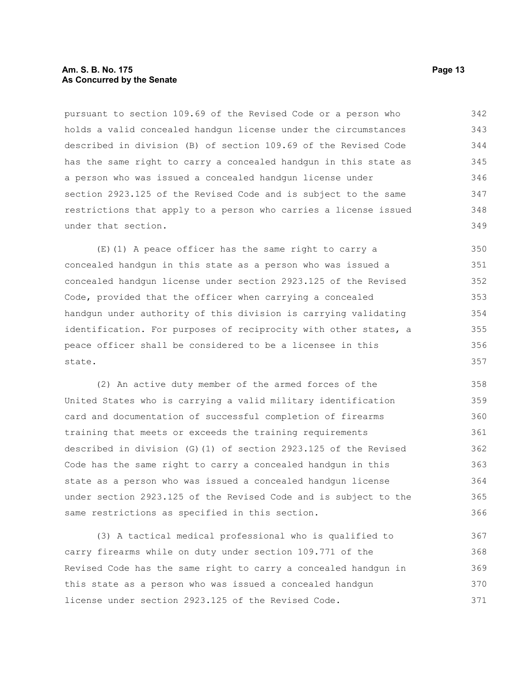#### **Am. S. B. No. 175 Page 13 As Concurred by the Senate**

pursuant to section 109.69 of the Revised Code or a person who holds a valid concealed handgun license under the circumstances described in division (B) of section 109.69 of the Revised Code has the same right to carry a concealed handgun in this state as a person who was issued a concealed handgun license under section 2923.125 of the Revised Code and is subject to the same restrictions that apply to a person who carries a license issued under that section. 342 343 344 345 346 347 348 349

(E)(1) A peace officer has the same right to carry a concealed handgun in this state as a person who was issued a concealed handgun license under section 2923.125 of the Revised Code, provided that the officer when carrying a concealed handgun under authority of this division is carrying validating identification. For purposes of reciprocity with other states, a peace officer shall be considered to be a licensee in this state. 350 351 352 353 354 355 356 357

(2) An active duty member of the armed forces of the United States who is carrying a valid military identification card and documentation of successful completion of firearms training that meets or exceeds the training requirements described in division (G)(1) of section 2923.125 of the Revised Code has the same right to carry a concealed handgun in this state as a person who was issued a concealed handgun license under section 2923.125 of the Revised Code and is subject to the same restrictions as specified in this section. 358 359 360 361 362 363 364 365 366

(3) A tactical medical professional who is qualified to carry firearms while on duty under section 109.771 of the Revised Code has the same right to carry a concealed handgun in this state as a person who was issued a concealed handgun license under section 2923.125 of the Revised Code. 367 368 369 370 371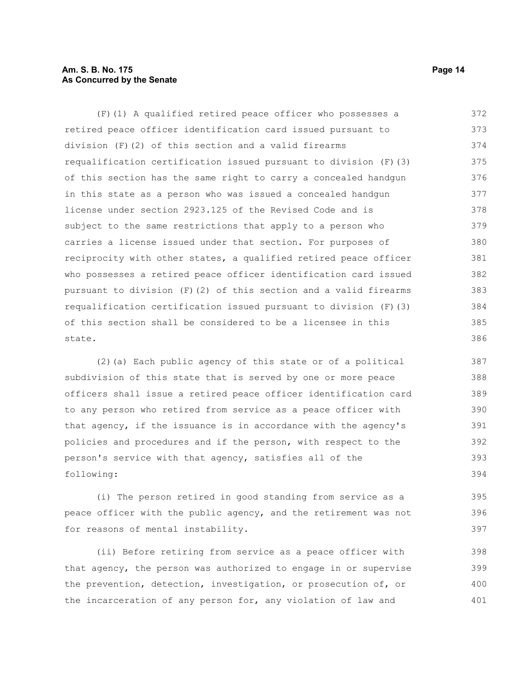#### **Am. S. B. No. 175 Page 14 As Concurred by the Senate**

(F)(1) A qualified retired peace officer who possesses a retired peace officer identification card issued pursuant to division (F)(2) of this section and a valid firearms requalification certification issued pursuant to division (F)(3) of this section has the same right to carry a concealed handgun in this state as a person who was issued a concealed handgun license under section 2923.125 of the Revised Code and is subject to the same restrictions that apply to a person who carries a license issued under that section. For purposes of reciprocity with other states, a qualified retired peace officer who possesses a retired peace officer identification card issued pursuant to division (F)(2) of this section and a valid firearms requalification certification issued pursuant to division (F)(3) of this section shall be considered to be a licensee in this state. 372 373 374 375 376 377 378 379 380 381 382 383 384 385 386

(2)(a) Each public agency of this state or of a political subdivision of this state that is served by one or more peace officers shall issue a retired peace officer identification card to any person who retired from service as a peace officer with that agency, if the issuance is in accordance with the agency's policies and procedures and if the person, with respect to the person's service with that agency, satisfies all of the following: 387 388 389 390 391 392 393 394

(i) The person retired in good standing from service as a peace officer with the public agency, and the retirement was not for reasons of mental instability. 395 396 397

(ii) Before retiring from service as a peace officer with that agency, the person was authorized to engage in or supervise the prevention, detection, investigation, or prosecution of, or the incarceration of any person for, any violation of law and 398 399 400 401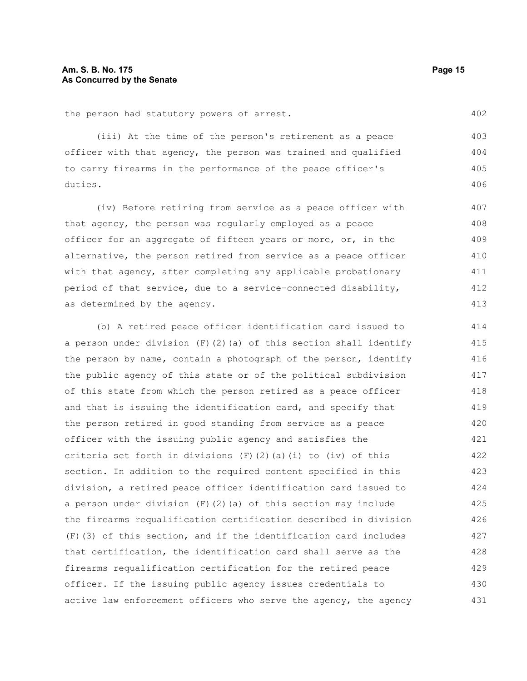the person had statutory powers of arrest.

(iii) At the time of the person's retirement as a peace officer with that agency, the person was trained and qualified to carry firearms in the performance of the peace officer's duties. 403 404 405 406

(iv) Before retiring from service as a peace officer with that agency, the person was regularly employed as a peace officer for an aggregate of fifteen years or more, or, in the alternative, the person retired from service as a peace officer with that agency, after completing any applicable probationary period of that service, due to a service-connected disability, as determined by the agency. 407 408 409 410 411 412 413

(b) A retired peace officer identification card issued to a person under division  $(F)$  (2)(a) of this section shall identify the person by name, contain a photograph of the person, identify the public agency of this state or of the political subdivision of this state from which the person retired as a peace officer and that is issuing the identification card, and specify that the person retired in good standing from service as a peace officer with the issuing public agency and satisfies the criteria set forth in divisions  $(F)$   $(2)$   $(a)$   $(i)$  to  $(iv)$  of this section. In addition to the required content specified in this division, a retired peace officer identification card issued to a person under division  $(F)(2)(a)$  of this section may include the firearms requalification certification described in division (F)(3) of this section, and if the identification card includes that certification, the identification card shall serve as the firearms requalification certification for the retired peace officer. If the issuing public agency issues credentials to active law enforcement officers who serve the agency, the agency 414 415 416 417 418 419 420 421 422 423 424 425 426 427 428 429 430 431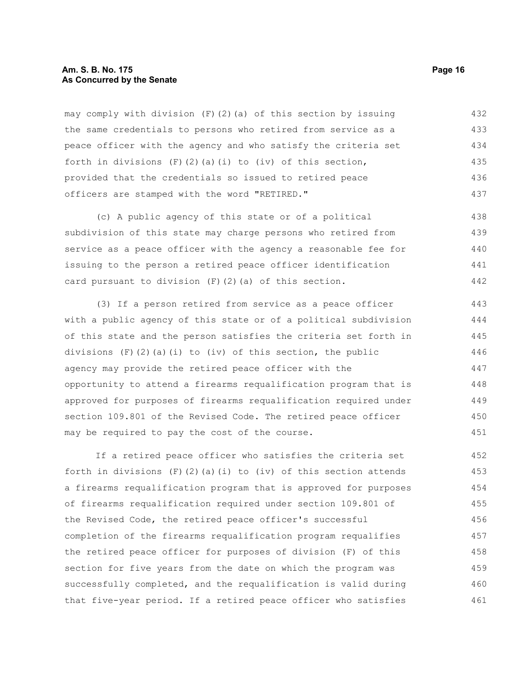#### **Am. S. B. No. 175 Page 16 As Concurred by the Senate**

may comply with division  $(F)(2)(a)$  of this section by issuing the same credentials to persons who retired from service as a peace officer with the agency and who satisfy the criteria set forth in divisions  $(F)(2)(a)(i)$  to (iv) of this section, provided that the credentials so issued to retired peace officers are stamped with the word "RETIRED." 432 433 434 435 436 437

(c) A public agency of this state or of a political subdivision of this state may charge persons who retired from service as a peace officer with the agency a reasonable fee for issuing to the person a retired peace officer identification card pursuant to division (F)(2)(a) of this section. 438 439 440 441 442

(3) If a person retired from service as a peace officer with a public agency of this state or of a political subdivision of this state and the person satisfies the criteria set forth in divisions  $(F)(2)(a)(i)$  to (iv) of this section, the public agency may provide the retired peace officer with the opportunity to attend a firearms requalification program that is approved for purposes of firearms requalification required under section 109.801 of the Revised Code. The retired peace officer may be required to pay the cost of the course. 443 444 445 446 447 448 449 450 451

If a retired peace officer who satisfies the criteria set forth in divisions  $(F)(2)(a)(i)$  to (iv) of this section attends a firearms requalification program that is approved for purposes of firearms requalification required under section 109.801 of the Revised Code, the retired peace officer's successful completion of the firearms requalification program requalifies the retired peace officer for purposes of division (F) of this section for five years from the date on which the program was successfully completed, and the requalification is valid during that five-year period. If a retired peace officer who satisfies 452 453 454 455 456 457 458 459 460 461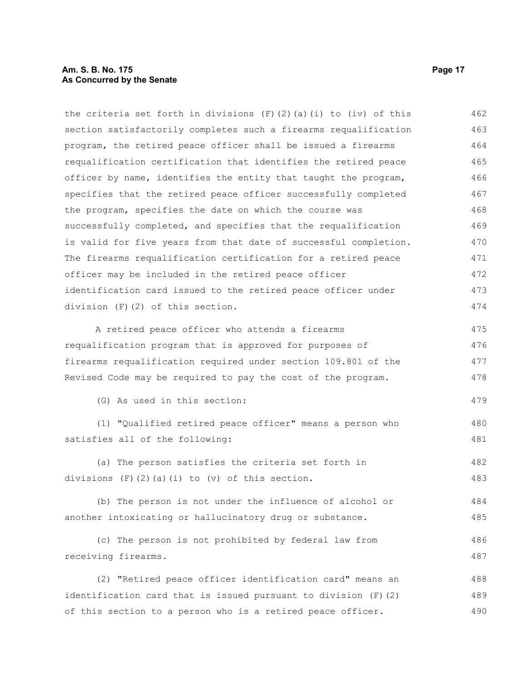#### **Am. S. B. No. 175 Page 17 As Concurred by the Senate**

the criteria set forth in divisions  $(F)(2)(a)(i)$  to (iv) of this section satisfactorily completes such a firearms requalification program, the retired peace officer shall be issued a firearms requalification certification that identifies the retired peace officer by name, identifies the entity that taught the program, specifies that the retired peace officer successfully completed the program, specifies the date on which the course was successfully completed, and specifies that the requalification is valid for five years from that date of successful completion. The firearms requalification certification for a retired peace officer may be included in the retired peace officer identification card issued to the retired peace officer under division (F)(2) of this section. A retired peace officer who attends a firearms requalification program that is approved for purposes of firearms requalification required under section 109.801 of the Revised Code may be required to pay the cost of the program. (G) As used in this section: (1) "Qualified retired peace officer" means a person who satisfies all of the following: (a) The person satisfies the criteria set forth in divisions  $(F)$   $(2)$   $(a)$   $(i)$  to  $(v)$  of this section. (b) The person is not under the influence of alcohol or another intoxicating or hallucinatory drug or substance. (c) The person is not prohibited by federal law from receiving firearms. (2) "Retired peace officer identification card" means an identification card that is issued pursuant to division (F)(2) of this section to a person who is a retired peace officer. 462 463 464 465 466 467 468 469 470 471 472 473 474 475 476 477 478 479 480 481 482 483 484 485 486 487 488 489 490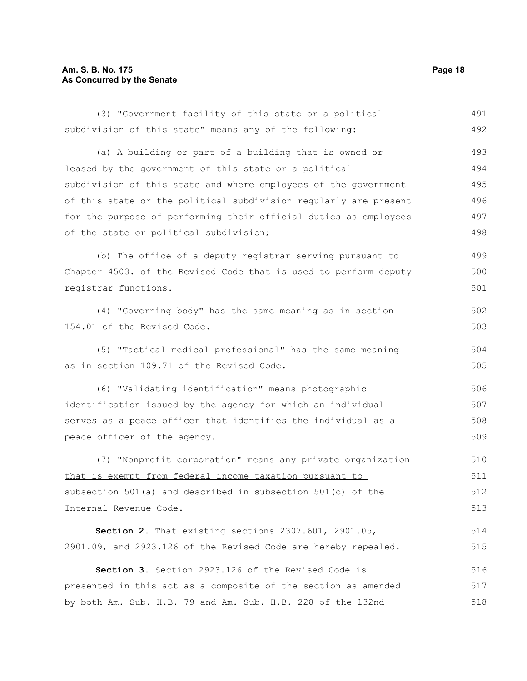### **Am. S. B. No. 175 Page 18 As Concurred by the Senate**

| (3) "Government facility of this state or a political            | 491 |
|------------------------------------------------------------------|-----|
| subdivision of this state" means any of the following:           | 492 |
| (a) A building or part of a building that is owned or            | 493 |
| leased by the government of this state or a political            | 494 |
| subdivision of this state and where employees of the government  | 495 |
| of this state or the political subdivision reqularly are present | 496 |
| for the purpose of performing their official duties as employees | 497 |
| of the state or political subdivision;                           | 498 |
| (b) The office of a deputy registrar serving pursuant to         | 499 |
| Chapter 4503. of the Revised Code that is used to perform deputy | 500 |
| registrar functions.                                             | 501 |
| (4) "Governing body" has the same meaning as in section          | 502 |
| 154.01 of the Revised Code.                                      | 503 |
| (5) "Tactical medical professional" has the same meaning         | 504 |
| as in section 109.71 of the Revised Code.                        | 505 |
| (6) "Validating identification" means photographic               | 506 |
| identification issued by the agency for which an individual      | 507 |
| serves as a peace officer that identifies the individual as a    |     |
| peace officer of the agency.                                     | 509 |
| (7) "Nonprofit corporation" means any private organization       | 510 |
| that is exempt from federal income taxation pursuant to          | 511 |
| subsection 501(a) and described in subsection 501(c) of the      | 512 |
| Internal Revenue Code.                                           | 513 |
| Section 2. That existing sections 2307.601, 2901.05,             | 514 |
| 2901.09, and 2923.126 of the Revised Code are hereby repealed.   | 515 |
| Section 3. Section 2923.126 of the Revised Code is               | 516 |
| presented in this act as a composite of the section as amended   | 517 |
| by both Am. Sub. H.B. 79 and Am. Sub. H.B. 228 of the 132nd      | 518 |